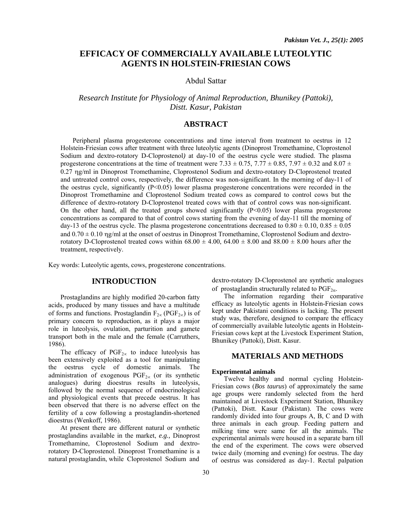# **EFFICACY OF COMMERCIALLY AVAILABLE LUTEOLYTIC AGENTS IN HOLSTEIN-FRIESIAN COWS**

### Abdul Sattar

## *Research Institute for Physiology of Animal Reproduction, Bhunikey (Pattoki), Distt. Kasur, Pakistan*

### **ABSTRACT**

Peripheral plasma progesterone concentrations and time interval from treatment to oestrus in 12 Holstein-Friesian cows after treatment with three luteolytic agents (Dinoprost Tromethamine, Cloprostenol Sodium and dextro-rotatory D-Cloprostenol*)* at day-10 of the oestrus cycle were studied. The plasma progesterone concentrations at the time of treatment were 7.33  $\pm$  0.75, 7.77  $\pm$  0.85, 7.97  $\pm$  0.32 and 8.07  $\pm$ 0.27 ηg/ml in Dinoprost Tromethamine, Cloprostenol Sodium and dextro-rotatory D-Cloprostenol treated and untreated control cows, respectively, the difference was non-significant. In the morning of day-11 of the oestrus cycle, significantly (P<0.05) lower plasma progesterone concentrations were recorded in the Dinoprost Tromethamine and Cloprostenol Sodium treated cows as compared to control cows but the difference of dextro-rotatory D-Cloprostenol treated cows with that of control cows was non-significant. On the other hand, all the treated groups showed significantly  $(P<0.05)$  lower plasma progesterone concentrations as compared to that of control cows starting from the evening of day-11 till the morning of day-13 of the oestrus cycle. The plasma progesterone concentrations decreased to  $0.80 \pm 0.10$ ,  $0.85 \pm 0.05$ and  $0.70 \pm 0.10$  ng/ml at the onset of oestrus in Dinoprost Tromethamine. Cloprostenol Sodium and dextrorotatory D-Cloprostenol treated cows within 68.00  $\pm$  4.00, 64.00  $\pm$  8.00 and 88.00  $\pm$  8.00 hours after the treatment, respectively.

Key words: Luteolytic agents, cows, progesterone concentrations.

### **INTRODUCTION**

Prostaglandins are highly modified 20-carbon fatty acids, produced by many tissues and have a multitude of forms and functions. Prostaglandin  $F_{2\infty}$  (PGF<sub>2∞</sub>) is of primary concern to reproduction, as it plays a major role in luteolysis, ovulation, parturition and gamete transport both in the male and the female (Carruthers, 1986).

The efficacy of  $PGF_{2\alpha}$  to induce luteolysis has been extensively exploited as a tool for manipulating the oestrus cycle of domestic animals. The administration of exogenous PGF2<sup>∝</sup> (or its synthetic analogues) during dioestrus results in luteolysis, followed by the normal sequence of endocrinological and physiological events that precede oestrus. It has been observed that there is no adverse effect on the fertility of a cow following a prostaglandin-shortened dioestrus (Wenkoff, 1986).

At present there are different natural or synthetic prostaglandins available in the market, *e.g.,* Dinoprost Tromethamine, Cloprostenol Sodium and dextrorotatory D-Cloprostenol. Dinoprost Tromethamine is a natural prostaglandin, while Cloprostenol Sodium and

dextro-rotatory D-Cloprostenol are synthetic analogues of prostaglandin structurally related to  $PGF_{2\alpha}$ .

The information regarding their comparative efficacy as luteolytic agents in Holstein-Friesian cows kept under Pakistani conditions is lacking. The present study was, therefore, designed to compare the efficacy of commercially available luteolytic agents in Holstein-Friesian cows kept at the Livestock Experiment Station, Bhunikey (Pattoki), Distt. Kasur.

### **MATERIALS AND METHODS**

#### **Experimental animals**

Twelve healthy and normal cycling Holstein-Friesian cows (*Bos taurus*) of approximately the same age groups were randomly selected from the herd maintained at Livestock Experiment Station, Bhunikey (Pattoki), Distt. Kasur (Pakistan). The cows were randomly divided into four groups A, B, C and D with three animals in each group. Feeding pattern and milking time were same for all the animals. The experimental animals were housed in a separate barn till the end of the experiment. The cows were observed twice daily (morning and evening) for oestrus. The day of oestrus was considered as day-1. Rectal palpation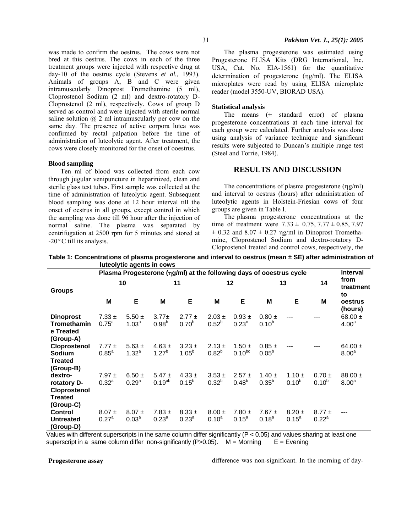was made to confirm the oestrus. The cows were not bred at this oestrus. The cows in each of the three treatment groups were injected with respective drug at day-10 of the oestrus cycle (Stevens *et al.,* 1993). Animals of groups A, B and C were given intramuscularly Dinoprost Tromethamine (5 ml), Cloprostenol Sodium (2 ml) and dextro-rotatory D-Cloprostenol (2 ml), respectively. Cows of group D served as control and were injected with sterile normal saline solution  $(a)$  2 ml intramuscularly per cow on the same day. The presence of active corpora lutea was confirmed by rectal palpation before the time of administration of luteolytic agent. After treatment, the

#### **Blood sampling**

Ten ml of blood was collected from each cow through jugular venipuncture in heparinized, clean and sterile glass test tubes. First sample was collected at the time of administration of luteolytic agent. Subsequent blood sampling was done at 12 hour interval till the onset of oestrus in all groups, except control in which the sampling was done till 96 hour after the injection of normal saline. The plasma was separated by centrifugation at 2500 rpm for 5 minutes and stored at -20°C till its analysis.

cows were closely monitored for the onset of ooestrus.

The plasma progesterone was estimated using Progesterone ELISA Kits (DRG International, Inc. USA, Cat. No. EIA-1561) for the quantitative determination of progesterone (ηg/ml). The ELISA microplates were read by using ELISA microplate reader (model 3550-UV, BIORAD USA).

#### **Statistical analysis**

The means  $(±$  standard error) of plasma progesterone concentrations at each time interval for each group were calculated. Further analysis was done using analysis of variance technique and significant results were subjected to Duncan's multiple range test (Steel and Torrie, 1984).

### **RESULTS AND DISCUSSION**

The concentrations of plasma progesterone (ηg/ml) and interval to oestrus (hours) after administration of luteolytic agents in Holstein-Friesian cows of four groups are given in Table I.

The plasma progesterone concentrations at the time of treatment were  $7.33 \pm 0.75$ ,  $7.77 \pm 0.85$ ,  $7.97$  $\pm$  0.32 and 8.07  $\pm$  0.27 ng/ml in Dinoprost Tromethamine, Cloprostenol Sodium and dextro-rotatory D-Cloprostenol treated and control cows, respectively, the

 **Table 1: Concentrations of plasma progesterone and interval to oestrus (mean ± SE) after administration of luteolytic agents in cows** 

|                                                 | Plasma Progesterone (ng/ml) at the following days of ooestrus cycle |                                 |                          |                          |                          |                              |                          |                              |                        | <b>Interval</b>                  |
|-------------------------------------------------|---------------------------------------------------------------------|---------------------------------|--------------------------|--------------------------|--------------------------|------------------------------|--------------------------|------------------------------|------------------------|----------------------------------|
| <b>Groups</b>                                   | 10                                                                  |                                 | 11                       |                          | $12 \,$                  |                              | 13                       |                              | 14                     | from<br>treatment                |
|                                                 | M                                                                   | E                               | M                        | E                        | M                        | E                            | M                        | E                            | M                      | to<br>oestrus<br>(hours)         |
| <b>Dinoprost</b>                                | $7.33 \pm$                                                          | $5.50 \pm$                      | $3.77+$                  | $2.77 \pm$               | $2.03 \pm$               | $0.93 \pm$                   | $0.80 \pm$               | ---                          | ---                    | 68.00 $\pm$                      |
| <b>Tromethamin</b><br>e Treated<br>(Group-A)    | 0.75 <sup>a</sup>                                                   | 1.03 <sup>a</sup>               | $0.98^{b}$               | $0.70^{b}$               | $0.52^{b}$               | 0.23 <sup>c</sup>            | $0.10^{b}$               |                              |                        | 4.00 <sup>a</sup>                |
| Cloprostenol<br><b>Sodium</b>                   | $7.77 \pm$<br>$0.85^{\circ}$                                        | $5.63 \pm$<br>$1.32^{a}$        | $4.63 \pm$<br>$1.27^{b}$ | $3.23 \pm$<br>$1.05^{b}$ | $2.13 \pm$<br>$0.82^{b}$ | $1.50 \pm$<br>$0.10^{bc}$    | $0.85 \pm$<br>$0.05^{b}$ |                              |                        | 64.00 $\pm$<br>8.00 <sup>a</sup> |
| <b>Treated</b><br>(Group-B)<br>dextro-          | $7.97 \pm$                                                          | $6.50 \pm$                      | $5.47 \pm$               | $4.33 \pm$               | $3.53 \pm$               | $2.57 \pm$                   | $1.40 \pm$               | $1.10 \pm$                   | $0.70 \pm$             | $88.00 \pm$                      |
| rotatory D-<br>Cloprostenol                     | $0.32^{a}$                                                          | 0.29 <sup>a</sup>               | $0.19^{ab}$              | $0.15^{b}$               | $0.32^{b}$               | $0.48^{b}$                   | $0.35^{b}$               | $0.10^{b}$                   | $0.10^{b}$             | 8.00 <sup>a</sup>                |
| <b>Treated</b><br>(Group-C)                     |                                                                     |                                 |                          |                          |                          |                              |                          |                              |                        |                                  |
| <b>Control</b><br><b>Untreated</b><br>(Group-D) | $8.07 \pm$<br>$0.27^{\circ}$                                        | $8.07 \pm$<br>0.03 <sup>a</sup> | $7.83 \pm$<br>$0.23^{a}$ | $8.33 \pm$<br>$0.23^{a}$ | $8.00 \pm$<br>$0.10^{a}$ | $7.80 \pm$<br>$0.15^{\circ}$ | $7.67 \pm$<br>$0.18^{a}$ | $8.20 \pm$<br>$0.15^{\circ}$ | $8.77 \pm$<br>$0.22^a$ |                                  |

 Values with different superscripts in the same column differ significantly (P < 0.05) and values sharing at least one superscript in a same column differ non-significantly  $(P>0.05)$ . M = Morning  $E =$  Evening

**Progesterone assay** 

difference was non-significant. In the morning of day-